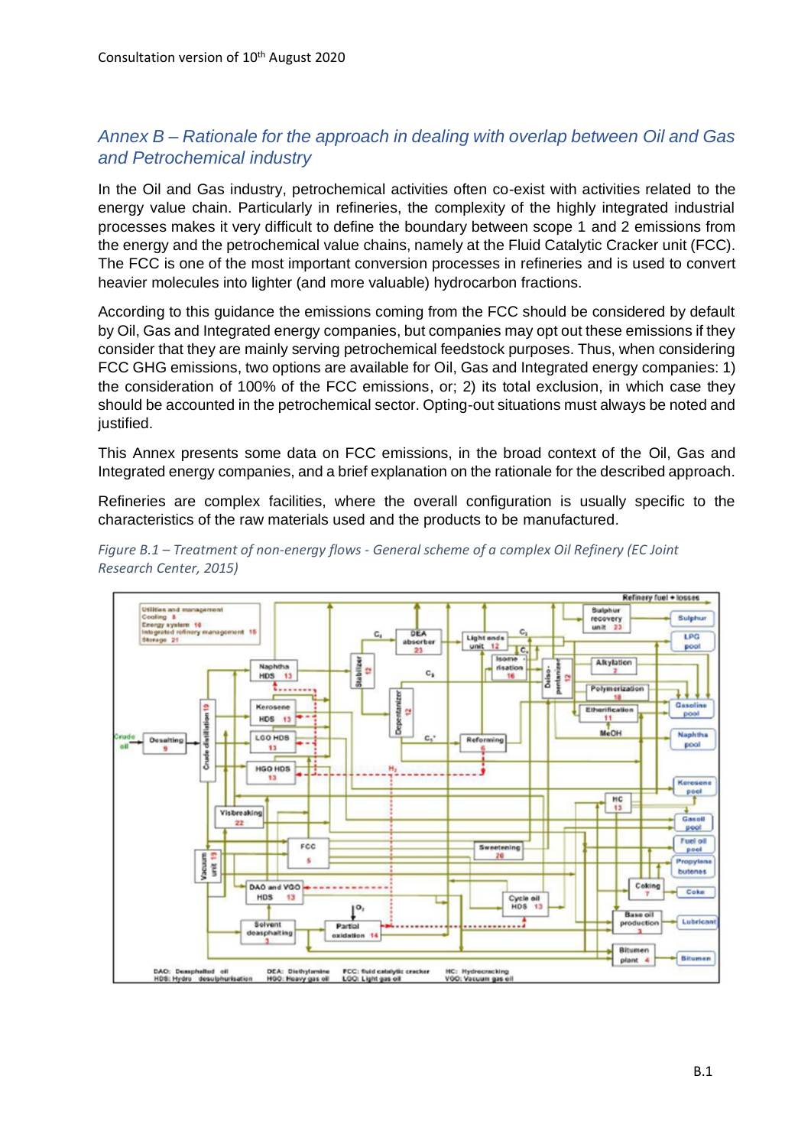## *Annex B – Rationale for the approach in dealing with overlap between Oil and Gas and Petrochemical industry*

In the Oil and Gas industry, petrochemical activities often co-exist with activities related to the energy value chain. Particularly in refineries, the complexity of the highly integrated industrial processes makes it very difficult to define the boundary between scope 1 and 2 emissions from the energy and the petrochemical value chains, namely at the Fluid Catalytic Cracker unit (FCC). The FCC is one of the most important conversion processes in refineries and is used to convert heavier molecules into lighter (and more valuable) hydrocarbon fractions.

According to this guidance the emissions coming from the FCC should be considered by default by Oil, Gas and Integrated energy companies, but companies may opt out these emissions if they consider that they are mainly serving petrochemical feedstock purposes. Thus, when considering FCC GHG emissions, two options are available for Oil, Gas and Integrated energy companies: 1) the consideration of 100% of the FCC emissions, or; 2) its total exclusion, in which case they should be accounted in the petrochemical sector. Opting-out situations must always be noted and justified.

This Annex presents some data on FCC emissions, in the broad context of the Oil, Gas and Integrated energy companies, and a brief explanation on the rationale for the described approach.

Refineries are complex facilities, where the overall configuration is usually specific to the characteristics of the raw materials used and the products to be manufactured.



*Figure B.1 – Treatment of non-energy flows - General scheme of a complex Oil Refinery (EC Joint Research Center, 2015)*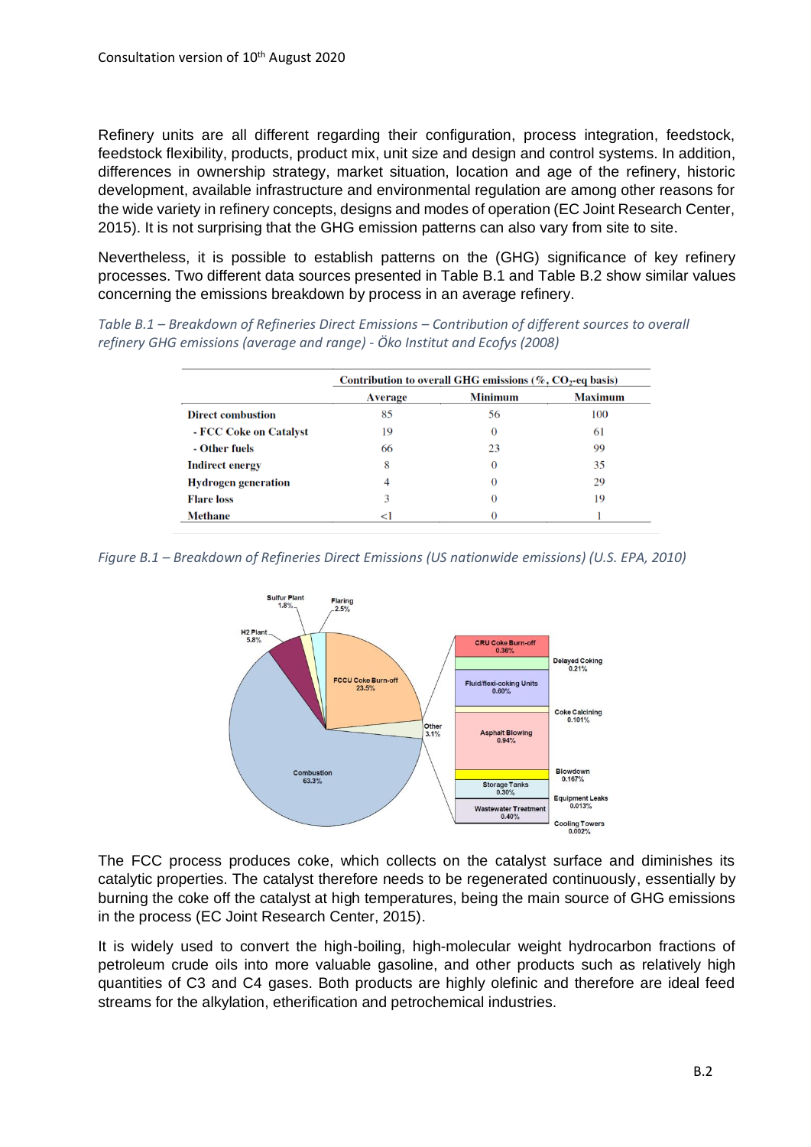Refinery units are all different regarding their configuration, process integration, feedstock, feedstock flexibility, products, product mix, unit size and design and control systems. In addition, differences in ownership strategy, market situation, location and age of the refinery, historic development, available infrastructure and environmental regulation are among other reasons for the wide variety in refinery concepts, designs and modes of operation (EC Joint Research Center, 2015). It is not surprising that the GHG emission patterns can also vary from site to site.

Nevertheless, it is possible to establish patterns on the (GHG) significance of key refinery processes. Two different data sources presented in Table B.1 and Table B.2 show similar values concerning the emissions breakdown by process in an average refinery.

*Table B.1 – Breakdown of Refineries Direct Emissions – Contribution of different sources to overall refinery GHG emissions (average and range) - Öko Institut and Ecofys (2008)*

|                            | Contribution to overall GHG emissions ( $\%$ , CO <sub>2</sub> -eq basis) |                |                |
|----------------------------|---------------------------------------------------------------------------|----------------|----------------|
|                            | <b>Average</b>                                                            | <b>Minimum</b> | <b>Maximum</b> |
| <b>Direct combustion</b>   | 85                                                                        | 56             | 100            |
| - FCC Coke on Catalyst     | 19                                                                        | $\Omega$       | 61             |
| - Other fuels              | 66                                                                        | 23             | 99             |
| <b>Indirect energy</b>     | 8                                                                         | $\Omega$       | 35             |
| <b>Hydrogen generation</b> |                                                                           |                | 29             |
| <b>Flare</b> loss          |                                                                           | 0              | 19             |
| <b>Methane</b>             | $\leq$                                                                    |                |                |

*Figure B.1 – Breakdown of Refineries Direct Emissions (US nationwide emissions) (U.S. EPA, 2010)*



The FCC process produces coke, which collects on the catalyst surface and diminishes its catalytic properties. The catalyst therefore needs to be regenerated continuously, essentially by burning the coke off the catalyst at high temperatures, being the main source of GHG emissions in the process (EC Joint Research Center, 2015).

It is widely used to convert the high-boiling, high-molecular weight hydrocarbon fractions of petroleum crude oils into more valuable gasoline, and other products such as relatively high quantities of C3 and C4 gases. Both products are highly olefinic and therefore are ideal feed streams for the alkylation, etherification and petrochemical industries.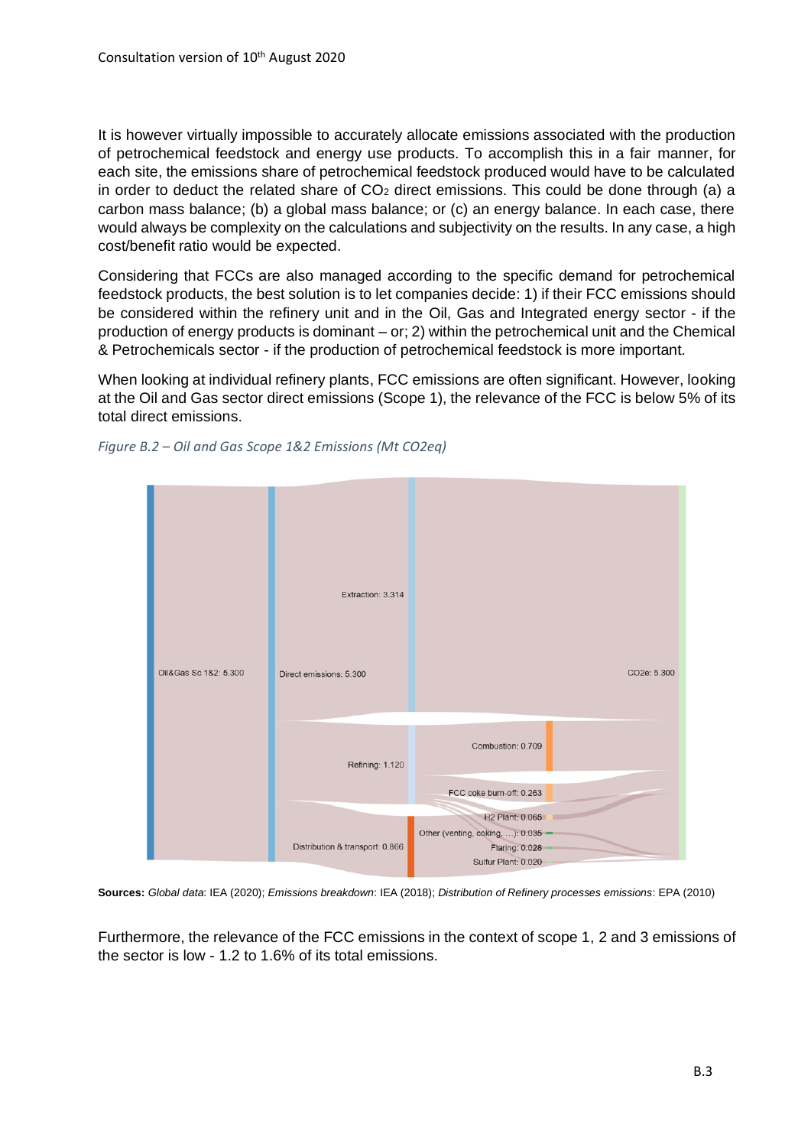It is however virtually impossible to accurately allocate emissions associated with the production of petrochemical feedstock and energy use products. To accomplish this in a fair manner, for each site, the emissions share of petrochemical feedstock produced would have to be calculated in order to deduct the related share of  $CO<sub>2</sub>$  direct emissions. This could be done through (a) a carbon mass balance; (b) a global mass balance; or (c) an energy balance. In each case, there would always be complexity on the calculations and subjectivity on the results. In any case, a high cost/benefit ratio would be expected.

Considering that FCCs are also managed according to the specific demand for petrochemical feedstock products, the best solution is to let companies decide: 1) if their FCC emissions should be considered within the refinery unit and in the Oil, Gas and Integrated energy sector - if the production of energy products is dominant – or; 2) within the petrochemical unit and the Chemical & Petrochemicals sector - if the production of petrochemical feedstock is more important.

When looking at individual refinery plants, FCC emissions are often significant. However, looking at the Oil and Gas sector direct emissions (Scope 1), the relevance of the FCC is below 5% of its total direct emissions.



*Figure B.2 – Oil and Gas Scope 1&2 Emissions (Mt CO2eq)*

**Sources:** *Global data*: IEA (2020); *Emissions breakdown*: IEA (2018); *Distribution of Refinery processes emissions*: EPA (2010)

Furthermore, the relevance of the FCC emissions in the context of scope 1, 2 and 3 emissions of the sector is low - 1.2 to 1.6% of its total emissions.